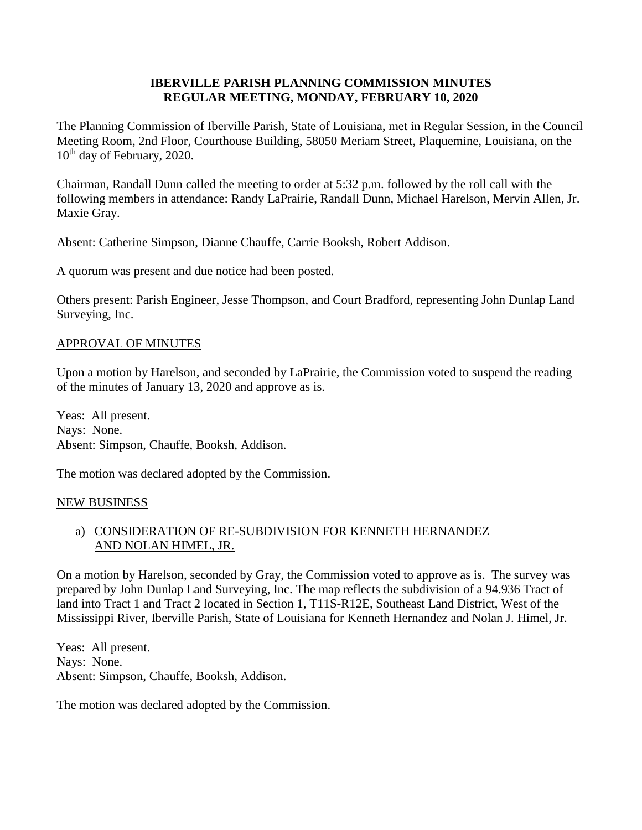### **IBERVILLE PARISH PLANNING COMMISSION MINUTES REGULAR MEETING, MONDAY, FEBRUARY 10, 2020**

The Planning Commission of Iberville Parish, State of Louisiana, met in Regular Session, in the Council Meeting Room, 2nd Floor, Courthouse Building, 58050 Meriam Street, Plaquemine, Louisiana, on the 10<sup>th</sup> day of February, 2020.

Chairman, Randall Dunn called the meeting to order at 5:32 p.m. followed by the roll call with the following members in attendance: Randy LaPrairie, Randall Dunn, Michael Harelson, Mervin Allen, Jr. Maxie Gray.

Absent: Catherine Simpson, Dianne Chauffe, Carrie Booksh, Robert Addison.

A quorum was present and due notice had been posted.

Others present: Parish Engineer, Jesse Thompson, and Court Bradford, representing John Dunlap Land Surveying, Inc.

### APPROVAL OF MINUTES

Upon a motion by Harelson, and seconded by LaPrairie, the Commission voted to suspend the reading of the minutes of January 13, 2020 and approve as is.

Yeas: All present. Nays: None. Absent: Simpson, Chauffe, Booksh, Addison.

The motion was declared adopted by the Commission.

#### NEW BUSINESS

# a) CONSIDERATION OF RE-SUBDIVISION FOR KENNETH HERNANDEZ AND NOLAN HIMEL, JR.

On a motion by Harelson, seconded by Gray, the Commission voted to approve as is. The survey was prepared by John Dunlap Land Surveying, Inc. The map reflects the subdivision of a 94.936 Tract of land into Tract 1 and Tract 2 located in Section 1, T11S-R12E, Southeast Land District, West of the Mississippi River, Iberville Parish, State of Louisiana for Kenneth Hernandez and Nolan J. Himel, Jr.

Yeas: All present. Nays: None. Absent: Simpson, Chauffe, Booksh, Addison.

The motion was declared adopted by the Commission.